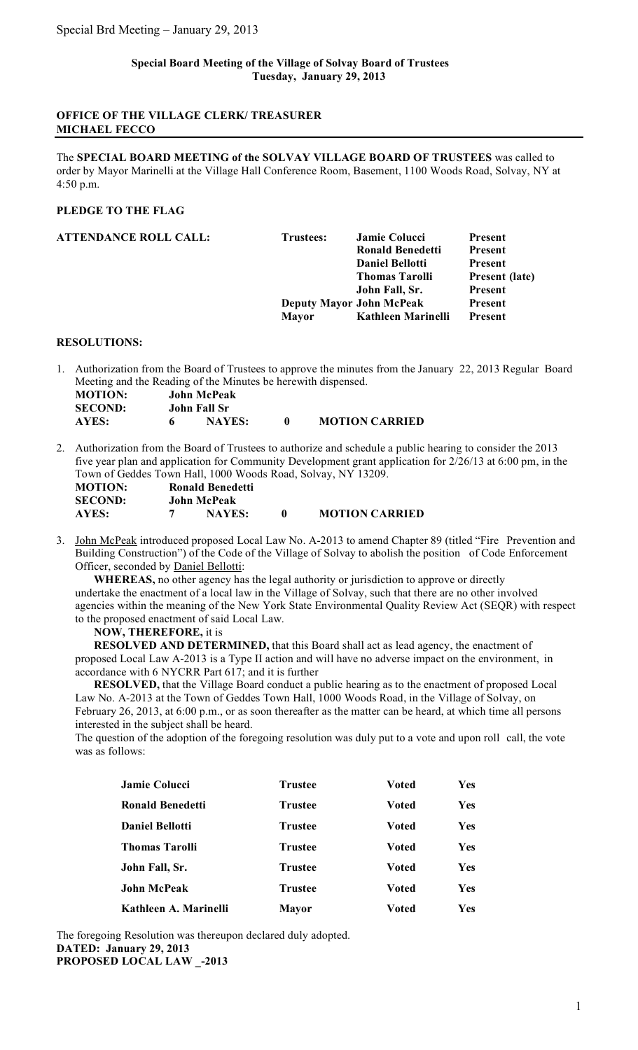## **Special Board Meeting of the Village of Solvay Board of Trustees Tuesday, January 29, 2013**

## **OFFICE OF THE VILLAGE CLERK/ TREASURER MICHAEL FECCO**

The **SPECIAL BOARD MEETING of the SOLVAY VILLAGE BOARD OF TRUSTEES** was called to order by Mayor Marinelli at the Village Hall Conference Room, Basement, 1100 Woods Road, Solvay, NY at 4:50 p.m.

# **PLEDGE TO THE FLAG**

| ATTENDANCE ROLL CALL: | Trustees:                       | <b>Jamie Colucci</b><br><b>Ronald Benedetti</b><br><b>Daniel Bellotti</b><br><b>Thomas Tarolli</b><br>John Fall, Sr. | Present<br><b>Present</b><br><b>Present</b><br>Present (late)<br>Present |
|-----------------------|---------------------------------|----------------------------------------------------------------------------------------------------------------------|--------------------------------------------------------------------------|
|                       | <b>Deputy Mayor John McPeak</b> |                                                                                                                      | Present                                                                  |
|                       | <b>Mayor</b>                    | Kathleen Marinelli                                                                                                   | <b>Present</b>                                                           |
|                       |                                 |                                                                                                                      |                                                                          |

### **RESOLUTIONS:**

1. Authorization from the Board of Trustees to approve the minutes from the January 22, 2013 Regular Board Meeting and the Reading of the Minutes be herewith dispensed.

| <b>MOTION:</b> | John McPeak   |                       |
|----------------|---------------|-----------------------|
| <b>SECOND:</b> | John Fall Sr  |                       |
| AYES:          | <b>NAYES:</b> | <b>MOTION CARRIED</b> |

2. Authorization from the Board of Trustees to authorize and schedule a public hearing to consider the 2013 five year plan and application for Community Development grant application for 2/26/13 at 6:00 pm, in the Town of Geddes Town Hall, 1000 Woods Road, Solvay, NY 13209.

| <b>MOTION:</b> | Ronald Benedetti |                       |  |
|----------------|------------------|-----------------------|--|
| <b>SECOND:</b> | John McPeak      |                       |  |
| AYES:          | <b>NAYES:</b>    | <b>MOTION CARRIED</b> |  |

3. John McPeak introduced proposed Local Law No. A-2013 to amend Chapter 89 (titled "Fire Prevention and Building Construction") of the Code of the Village of Solvay to abolish the position of Code Enforcement Officer, seconded by Daniel Bellotti:

**WHEREAS,** no other agency has the legal authority or jurisdiction to approve or directly undertake the enactment of a local law in the Village of Solvay, such that there are no other involved agencies within the meaning of the New York State Environmental Quality Review Act (SEQR) with respect to the proposed enactment of said Local Law.

#### **NOW, THEREFORE,** it is

**RESOLVED AND DETERMINED,** that this Board shall act as lead agency, the enactment of proposed Local Law A-2013 is a Type II action and will have no adverse impact on the environment, in accordance with 6 NYCRR Part 617; and it is further

**RESOLVED,** that the Village Board conduct a public hearing as to the enactment of proposed Local Law No. A-2013 at the Town of Geddes Town Hall, 1000 Woods Road, in the Village of Solvay, on February 26, 2013, at 6:00 p.m., or as soon thereafter as the matter can be heard, at which time all persons interested in the subject shall be heard.

The question of the adoption of the foregoing resolution was duly put to a vote and upon roll call, the vote was as follows:

| <b>Jamie Colucci</b>    | <b>Trustee</b> | <b>Voted</b> | Yes        |
|-------------------------|----------------|--------------|------------|
| <b>Ronald Benedetti</b> | <b>Trustee</b> | <b>Voted</b> | Yes        |
| <b>Daniel Bellotti</b>  | <b>Trustee</b> | <b>Voted</b> | Yes        |
| <b>Thomas Tarolli</b>   | <b>Trustee</b> | <b>Voted</b> | <b>Yes</b> |
| John Fall, Sr.          | <b>Trustee</b> | <b>Voted</b> | Yes        |
| <b>John McPeak</b>      | <b>Trustee</b> | Voted        | Yes        |
| Kathleen A. Marinelli   | <b>Mayor</b>   | Voted        | Yes        |

The foregoing Resolution was thereupon declared duly adopted. **DATED: January 29, 2013 PROPOSED LOCAL LAW \_-2013**